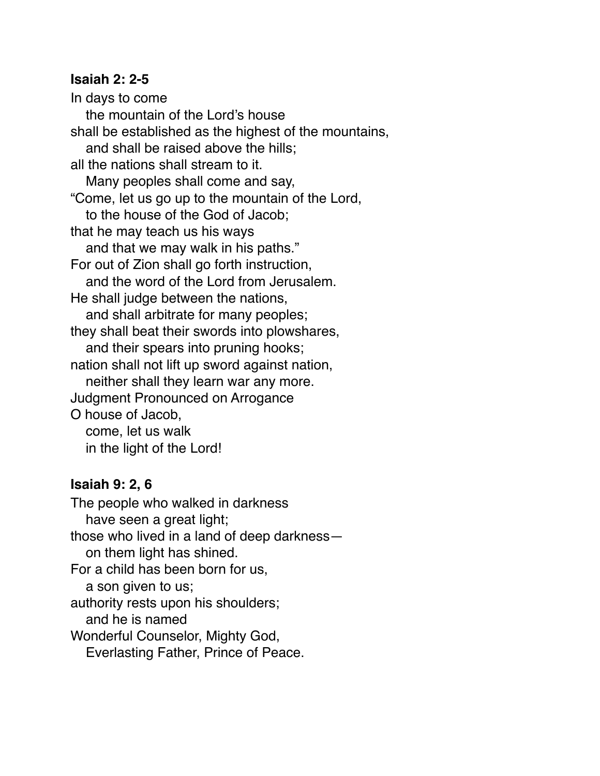## **Isaiah 2: 2-5**

In days to come the mountain of the Lord's house shall be established as the highest of the mountains, and shall be raised above the hills; all the nations shall stream to it. Many peoples shall come and say, "Come, let us go up to the mountain of the Lord, to the house of the God of Jacob; that he may teach us his ways and that we may walk in his paths." For out of Zion shall go forth instruction, and the word of the Lord from Jerusalem. He shall judge between the nations, and shall arbitrate for many peoples; they shall beat their swords into plowshares, and their spears into pruning hooks; nation shall not lift up sword against nation, neither shall they learn war any more. Judgment Pronounced on Arrogance O house of Jacob, come, let us walk in the light of the Lord!

## **Isaiah 9: 2, 6**

The people who walked in darkness have seen a great light; those who lived in a land of deep darkness— on them light has shined. For a child has been born for us, a son given to us; authority rests upon his shoulders; and he is named Wonderful Counselor, Mighty God, Everlasting Father, Prince of Peace.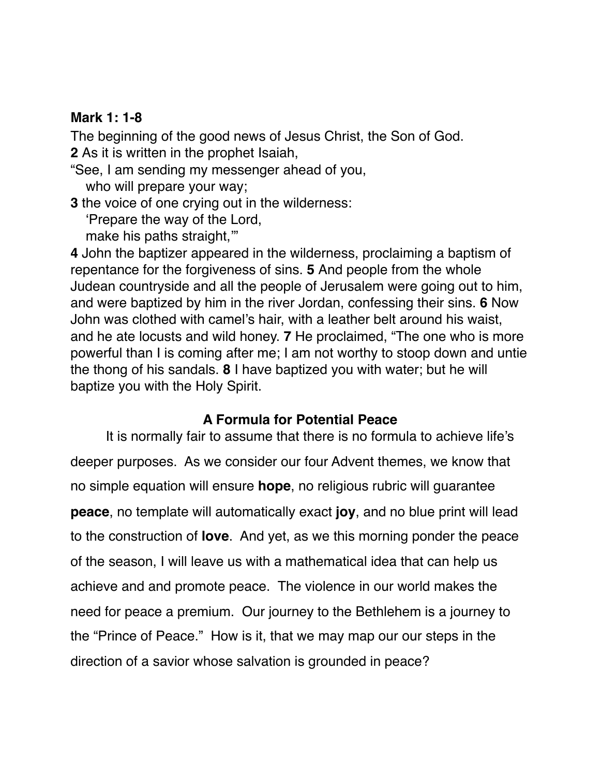## **Mark 1: 1-8**

The beginning of the good news of Jesus Christ, the Son of God.

**2** As it is written in the prophet Isaiah,

"See, I am sending my messenger ahead of you, who will prepare your way;

**3** the voice of one crying out in the wilderness: 'Prepare the way of the Lord, make his paths straight,'"

**4** John the baptizer appeared in the wilderness, proclaiming a baptism of repentance for the forgiveness of sins. **5** And people from the whole Judean countryside and all the people of Jerusalem were going out to him, and were baptized by him in the river Jordan, confessing their sins. **6** Now John was clothed with camel's hair, with a leather belt around his waist, and he ate locusts and wild honey. **7** He proclaimed, "The one who is more powerful than I is coming after me; I am not worthy to stoop down and untie the thong of his sandals. **8** I have baptized you with water; but he will baptize you with the Holy Spirit.

## **A Formula for Potential Peace**

It is normally fair to assume that there is no formula to achieve life's deeper purposes. As we consider our four Advent themes, we know that no simple equation will ensure **hope**, no religious rubric will guarantee **peace**, no template will automatically exact **joy**, and no blue print will lead to the construction of **love**. And yet, as we this morning ponder the peace of the season, I will leave us with a mathematical idea that can help us achieve and and promote peace. The violence in our world makes the need for peace a premium. Our journey to the Bethlehem is a journey to the "Prince of Peace." How is it, that we may map our our steps in the direction of a savior whose salvation is grounded in peace?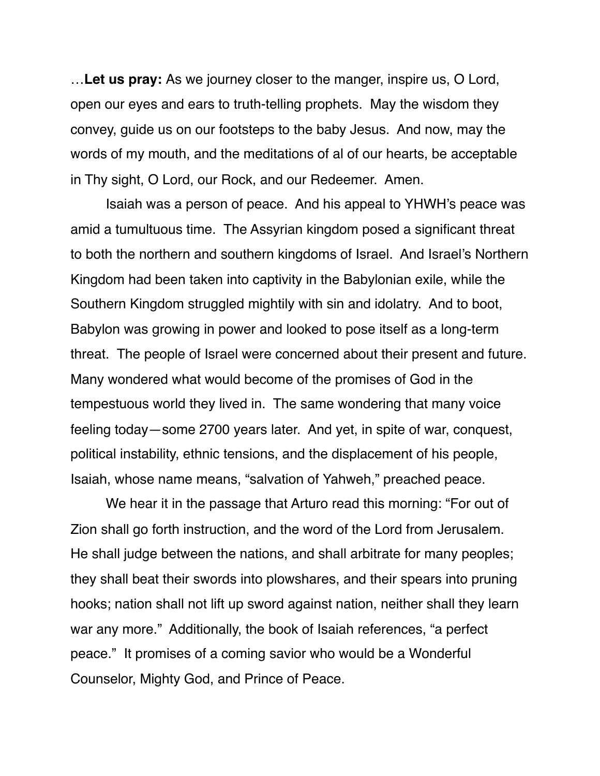…**Let us pray:** As we journey closer to the manger, inspire us, O Lord, open our eyes and ears to truth-telling prophets. May the wisdom they convey, guide us on our footsteps to the baby Jesus. And now, may the words of my mouth, and the meditations of al of our hearts, be acceptable in Thy sight, O Lord, our Rock, and our Redeemer. Amen.

Isaiah was a person of peace. And his appeal to YHWH's peace was amid a tumultuous time. The Assyrian kingdom posed a significant threat to both the northern and southern kingdoms of Israel. And Israel's Northern Kingdom had been taken into captivity in the Babylonian exile, while the Southern Kingdom struggled mightily with sin and idolatry. And to boot, Babylon was growing in power and looked to pose itself as a long-term threat. The people of Israel were concerned about their present and future. Many wondered what would become of the promises of God in the tempestuous world they lived in. The same wondering that many voice feeling today—some 2700 years later. And yet, in spite of war, conquest, political instability, ethnic tensions, and the displacement of his people, Isaiah, whose name means, "salvation of Yahweh," preached peace.

We hear it in the passage that Arturo read this morning: "For out of Zion shall go forth instruction, and the word of the Lord from Jerusalem. He shall judge between the nations, and shall arbitrate for many peoples; they shall beat their swords into plowshares, and their spears into pruning hooks; nation shall not lift up sword against nation, neither shall they learn war any more." Additionally, the book of Isaiah references, "a perfect peace." It promises of a coming savior who would be a Wonderful Counselor, Mighty God, and Prince of Peace.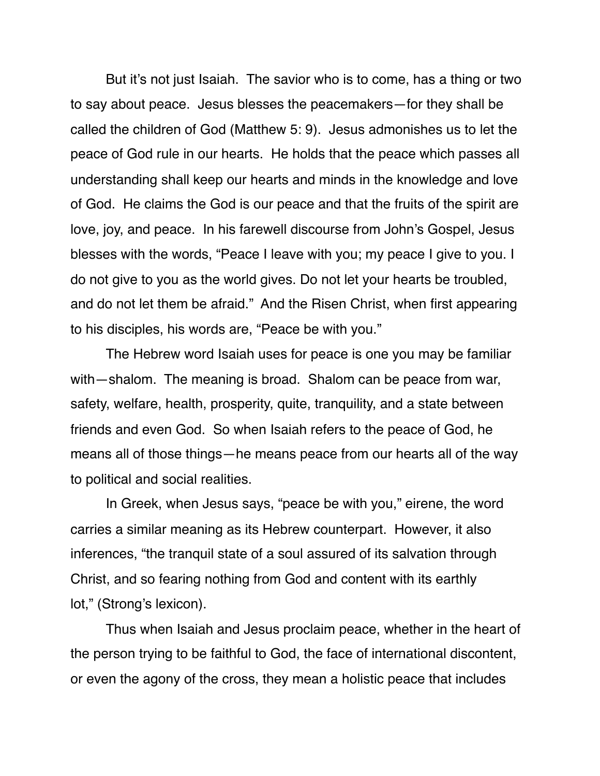But it's not just Isaiah. The savior who is to come, has a thing or two to say about peace. Jesus blesses the peacemakers—for they shall be called the children of God (Matthew 5: 9). Jesus admonishes us to let the peace of God rule in our hearts. He holds that the peace which passes all understanding shall keep our hearts and minds in the knowledge and love of God. He claims the God is our peace and that the fruits of the spirit are love, joy, and peace. In his farewell discourse from John's Gospel, Jesus blesses with the words, "Peace I leave with you; my peace I give to you. I do not give to you as the world gives. Do not let your hearts be troubled, and do not let them be afraid." And the Risen Christ, when first appearing to his disciples, his words are, "Peace be with you."

The Hebrew word Isaiah uses for peace is one you may be familiar with—shalom. The meaning is broad. Shalom can be peace from war, safety, welfare, health, prosperity, quite, tranquility, and a state between friends and even God. So when Isaiah refers to the peace of God, he means all of those things—he means peace from our hearts all of the way to political and social realities.

In Greek, when Jesus says, "peace be with you," eirene, the word carries a similar meaning as its Hebrew counterpart. However, it also inferences, "the tranquil state of a soul assured of its salvation through Christ, and so fearing nothing from God and content with its earthly lot," (Strong's lexicon).

Thus when Isaiah and Jesus proclaim peace, whether in the heart of the person trying to be faithful to God, the face of international discontent, or even the agony of the cross, they mean a holistic peace that includes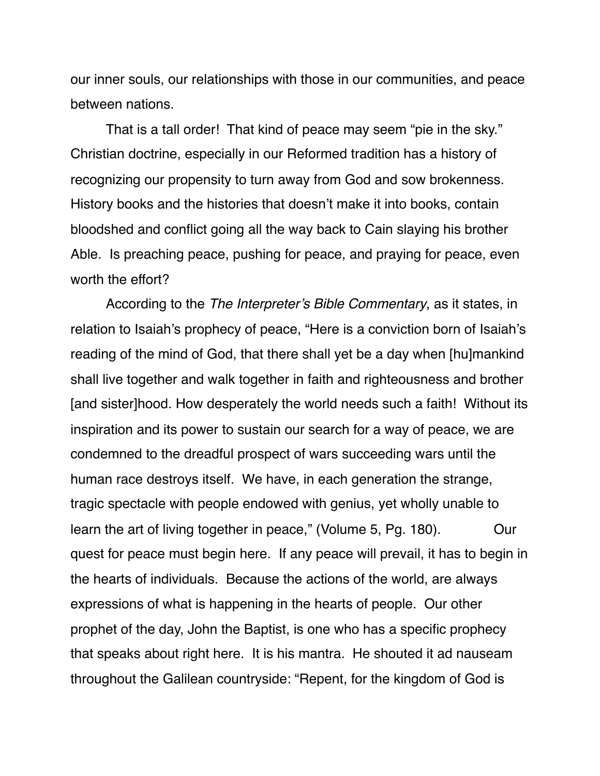our inner souls, our relationships with those in our communities, and peace between nations.

That is a tall order! That kind of peace may seem "pie in the sky." Christian doctrine, especially in our Reformed tradition has a history of recognizing our propensity to turn away from God and sow brokenness. History books and the histories that doesn't make it into books, contain bloodshed and conflict going all the way back to Cain slaying his brother Able. Is preaching peace, pushing for peace, and praying for peace, even worth the effort?

According to the *The Interpreter's Bible Commentary*, as it states, in relation to Isaiah's prophecy of peace, "Here is a conviction born of Isaiah's reading of the mind of God, that there shall yet be a day when [hu]mankind shall live together and walk together in faith and righteousness and brother [and sister]hood. How desperately the world needs such a faith! Without its inspiration and its power to sustain our search for a way of peace, we are condemned to the dreadful prospect of wars succeeding wars until the human race destroys itself. We have, in each generation the strange, tragic spectacle with people endowed with genius, yet wholly unable to learn the art of living together in peace," (Volume 5, Pg. 180). Our quest for peace must begin here. If any peace will prevail, it has to begin in the hearts of individuals. Because the actions of the world, are always expressions of what is happening in the hearts of people. Our other prophet of the day, John the Baptist, is one who has a specific prophecy that speaks about right here. It is his mantra. He shouted it ad nauseam throughout the Galilean countryside: "Repent, for the kingdom of God is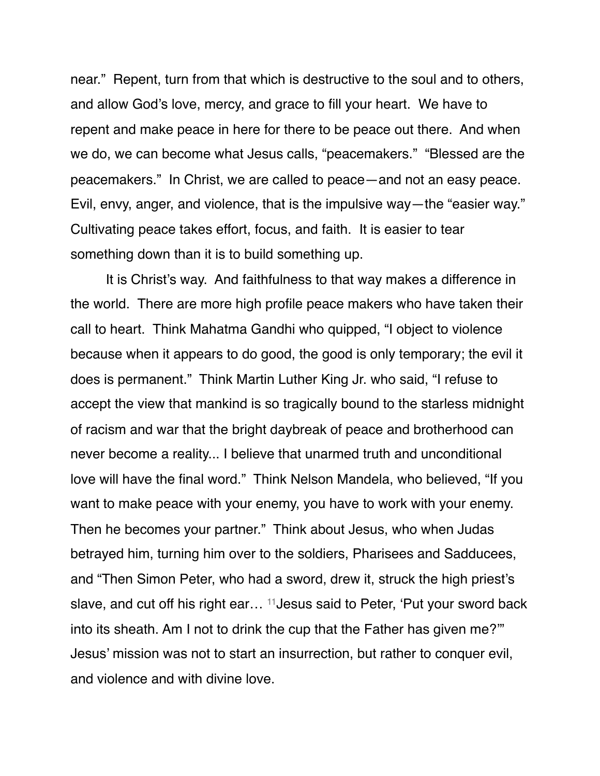near." Repent, turn from that which is destructive to the soul and to others, and allow God's love, mercy, and grace to fill your heart. We have to repent and make peace in here for there to be peace out there. And when we do, we can become what Jesus calls, "peacemakers." "Blessed are the peacemakers." In Christ, we are called to peace—and not an easy peace. Evil, envy, anger, and violence, that is the impulsive way—the "easier way." Cultivating peace takes effort, focus, and faith. It is easier to tear something down than it is to build something up.

It is Christ's way. And faithfulness to that way makes a difference in the world. There are more high profile peace makers who have taken their call to heart. Think Mahatma Gandhi who quipped, ["I object to violence](http://www.brainyquote.com/quotes/quotes/m/mahatmagan125824.html)  [because when it appears to do good, the good is only temporary; the evil it](http://www.brainyquote.com/quotes/quotes/m/mahatmagan125824.html)  [does is permanent.](http://www.brainyquote.com/quotes/quotes/m/mahatmagan125824.html)" Think Martin Luther King Jr. who said, ["I refuse to](http://www.brainyquote.com/quotes/quotes/m/martinluth107470.html)  [accept the view that mankind is so tragically bound to the starless midnight](http://www.brainyquote.com/quotes/quotes/m/martinluth107470.html)  [of racism and war that the bright daybreak of peace and brotherhood can](http://www.brainyquote.com/quotes/quotes/m/martinluth107470.html)  [never become a reality... I believe that unarmed truth and unconditional](http://www.brainyquote.com/quotes/quotes/m/martinluth107470.html)  [love will have the final word.](http://www.brainyquote.com/quotes/quotes/m/martinluth107470.html)" Think Nelson Mandela, who believed, "[If you](http://www.brainyquote.com/quotes/quotes/n/nelsonmand133378.html)  [want to make peace with your enemy, you have to work with your enemy.](http://www.brainyquote.com/quotes/quotes/n/nelsonmand133378.html)  [Then he becomes your partner."](http://www.brainyquote.com/quotes/quotes/n/nelsonmand133378.html) Think about Jesus, who when Judas betrayed him, turning him over to the soldiers, Pharisees and Sadducees, and "Then Simon Peter, who had a sword, drew it, struck the high priest's slave, and cut off his right ear… 11Jesus said to Peter, 'Put your sword back into its sheath. Am I not to drink the cup that the Father has given me?'" Jesus' mission was not to start an insurrection, but rather to conquer evil, and violence and with divine love.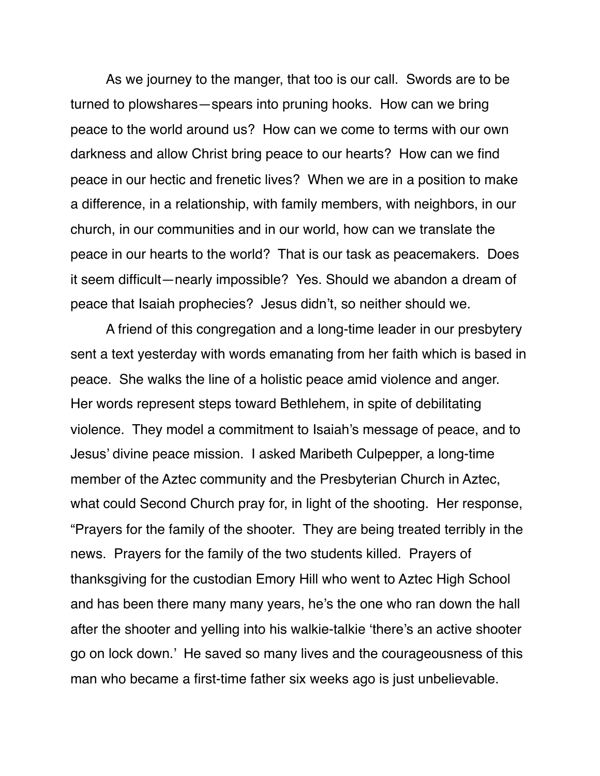As we journey to the manger, that too is our call. Swords are to be turned to plowshares—spears into pruning hooks. How can we bring peace to the world around us? How can we come to terms with our own darkness and allow Christ bring peace to our hearts? How can we find peace in our hectic and frenetic lives? When we are in a position to make a difference, in a relationship, with family members, with neighbors, in our church, in our communities and in our world, how can we translate the peace in our hearts to the world? That is our task as peacemakers. Does it seem difficult—nearly impossible? Yes. Should we abandon a dream of peace that Isaiah prophecies? Jesus didn't, so neither should we.

A friend of this congregation and a long-time leader in our presbytery sent a text yesterday with words emanating from her faith which is based in peace. She walks the line of a holistic peace amid violence and anger. Her words represent steps toward Bethlehem, in spite of debilitating violence. They model a commitment to Isaiah's message of peace, and to Jesus' divine peace mission. I asked Maribeth Culpepper, a long-time member of the Aztec community and the Presbyterian Church in Aztec, what could Second Church pray for, in light of the shooting. Her response, "Prayers for the family of the shooter. They are being treated terribly in the news. Prayers for the family of the two students killed. Prayers of thanksgiving for the custodian Emory Hill who went to Aztec High School and has been there many many years, he's the one who ran down the hall after the shooter and yelling into his walkie-talkie 'there's an active shooter go on lock down.' He saved so many lives and the courageousness of this man who became a first-time father six weeks ago is just unbelievable.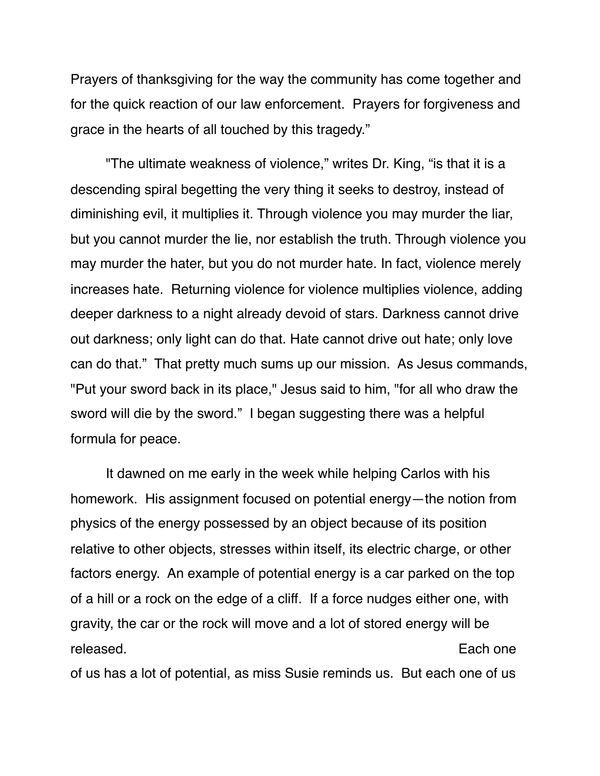Prayers of thanksgiving for the way the community has come together and for the quick reaction of our law enforcement. Prayers for forgiveness and grace in the hearts of all touched by this tragedy."

"The ultimate weakness of violence," writes Dr. King, "is that it is a descending spiral begetting the very thing it seeks to destroy, instead of diminishing evil, it multiplies it. Through violence you may murder the liar, but you cannot murder the lie, nor establish the truth. Through violence you may murder the hater, but you do not murder hate. In fact, violence merely increases hate. Returning violence for violence multiplies violence, adding deeper darkness to a night already devoid of stars. Darkness cannot drive out darkness; only light can do that. Hate cannot drive out hate; only love can do that." That pretty much sums up our mission. As Jesus commands, "Put your sword back in its place," Jesus said to him, "for all who draw the sword will die by the sword." I began suggesting there was a helpful formula for peace.

It dawned on me early in the week while helping Carlos with his homework. His assignment focused on potential energy—the notion from physics of the energy possessed by an object because of its position relative to other objects, stresses within itself, its electric charge, or other factors energy. An example of potential energy is a car parked on the top of a hill or a rock on the edge of a cliff. If a force nudges either one, with gravity, the car or the rock will move and a lot of stored energy will be released. **Each one** of us has a lot of potential, as miss Susie reminds us. But each one of us